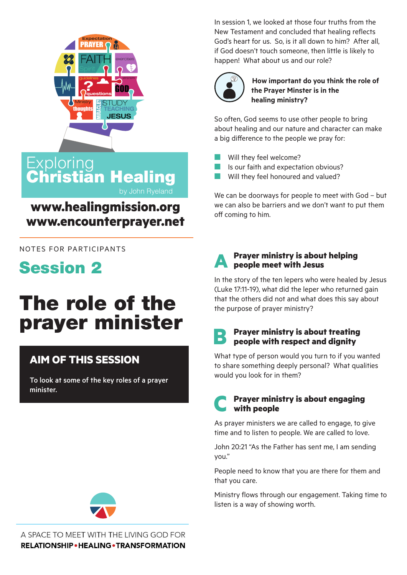

Christian Healing

**www.healingmission.org**

**www.encounterprayer.net**

by John Ryeland

In session 1, we looked at those four truths from the New Testament and concluded that healing reflects God's heart for us. So, is it all down to him? After all, if God doesn't touch someone, then little is likely to happen! What about us and our role?



**How important do you think the role of the Prayer Minster is in the healing ministry?**

So often, God seems to use other people to bring about healing and our nature and character can make a big difference to the people we pray for:

- Will they feel welcome?
- Is our faith and expectation obvious?
- Will they feel honoured and valued?

We can be doorways for people to meet with God – but we can also be barriers and we don't want to put them off coming to him.



#### **A Prayer ministry is about helping people meet with Jesus**

In the story of the ten lepers who were healed by Jesus (Luke 17:11-19), what did the leper who returned gain that the others did not and what does this say about the purpose of prayer ministry?

## **B Prayer ministry is about treating people with respect and dignity**

What type of person would you turn to if you wanted to share something deeply personal? What qualities would you look for in them?

### **C Prayer ministry is about engaging with people**

As prayer ministers we are called to engage, to give time and to listen to people. We are called to love.

John 20:21 "As the Father has sent me, I am sending you."

People need to know that you are there for them and that you care.

Ministry flows through our engagement. Taking time to listen is a way of showing worth.

NOTES FOR PARTICIPANTS



**Exploring** 

# The role of the prayer minister

# **AIM OF THIS SESSION**

To look at some of the key roles of a prayer minister.